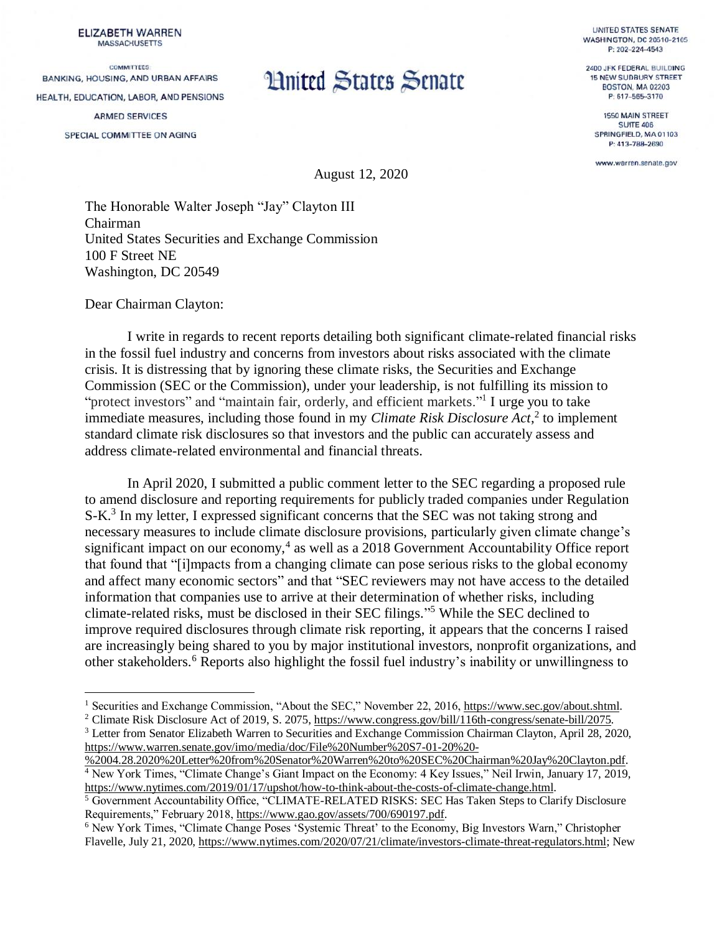**ELIZABETH WARREN MASSACHUSETTS** 

**COMMITTEES** BANKING, HOUSING, AND URBAN AFFAIRS HEALTH, EDUCATION, LABOR, AND PENSIONS **ARMED SERVICES** SPECIAL COMMITTEE ON AGING

# **Hnited States Senate**

**UNITED STATES SENATE WASHINGTON, DC 20510-2105** P: 202-224-4543

2400 JFK FEDERAL BUILDING **15 NEW SUDBURY STREET BOSTON, MA 02203** P: 617-565-3170

1550 MAIN STREET **SUITE 406** SPRINGFIELD, MA 01103 P: 413-788-2690

www.warren.senate.gov

August 12, 2020

The Honorable Walter Joseph "Jay" Clayton III Chairman United States Securities and Exchange Commission 100 F Street NE Washington, DC 20549

Dear Chairman Clayton:

 $\overline{a}$ 

I write in regards to recent reports detailing both significant climate-related financial risks in the fossil fuel industry and concerns from investors about risks associated with the climate crisis. It is distressing that by ignoring these climate risks, the Securities and Exchange Commission (SEC or the Commission), under your leadership, is not fulfilling its mission to "protect investors" and "maintain fair, orderly, and efficient markets."<sup>1</sup> I urge you to take immediate measures, including those found in my *Climate Risk Disclosure Act*,<sup>2</sup> to implement standard climate risk disclosures so that investors and the public can accurately assess and address climate-related environmental and financial threats.

In April 2020, I submitted a public comment letter to the SEC regarding a proposed rule to amend disclosure and reporting requirements for publicly traded companies under Regulation S-K.<sup>3</sup> In my letter, I expressed significant concerns that the SEC was not taking strong and necessary measures to include climate disclosure provisions, particularly given climate change's significant impact on our economy, 4 as well as a 2018 Government Accountability Office report that found that "[i]mpacts from a changing climate can pose serious risks to the global economy and affect many economic sectors" and that "SEC reviewers may not have access to the detailed information that companies use to arrive at their determination of whether risks, including climate-related risks, must be disclosed in their SEC filings." <sup>5</sup> While the SEC declined to improve required disclosures through climate risk reporting, it appears that the concerns I raised are increasingly being shared to you by major institutional investors, nonprofit organizations, and other stakeholders. <sup>6</sup> Reports also highlight the fossil fuel industry's inability or unwillingness to

<sup>&</sup>lt;sup>1</sup> Securities and Exchange Commission, "About the SEC," November 22, 2016, [https://www.sec.gov/about.shtml.](https://www.sec.gov/about.shtml)

<sup>&</sup>lt;sup>2</sup> Climate Risk Disclosure Act of 2019, S. 2075[, https://www.congress.gov/bill/116th-congress/senate-bill/2075.](https://www.congress.gov/bill/116th-congress/senate-bill/2075)

<sup>3</sup> Letter from Senator Elizabeth Warren to Securities and Exchange Commission Chairman Clayton, April 28, 2020, [https://www.warren.senate.gov/imo/media/doc/File%20Number%20S7-01-20%20-](https://www.warren.senate.gov/imo/media/doc/File%20Number%20S7-01-20%20-%2004.28.2020%20Letter%20from%20Senator%20Warren%20to%20SEC%20Chairman%20Jay%20Clayton.pdf)

[<sup>%2004.28.2020%20</sup>Letter%20from%20Senator%20Warren%20to%20SEC%20Chairman%20Jay%20Clayton.pdf.](https://www.warren.senate.gov/imo/media/doc/File%20Number%20S7-01-20%20-%2004.28.2020%20Letter%20from%20Senator%20Warren%20to%20SEC%20Chairman%20Jay%20Clayton.pdf) <sup>4</sup> New York Times, "Climate Change's Giant Impact on the Economy: 4 Key Issues," Neil Irwin, January 17, 2019, [https://www.nytimes.com/2019/01/17/upshot/how-to-think-about-the-costs-of-climate-change.html.](https://www.nytimes.com/2019/01/17/upshot/how-to-think-about-the-costs-of-climate-change.html)

<sup>5</sup> Government Accountability Office, "CLIMATE-RELATED RISKS: SEC Has Taken Steps to Clarify Disclosure Requirements," February 2018[, https://www.gao.gov/assets/700/690197.pdf.](https://www.gao.gov/assets/700/690197.pdf)

<sup>&</sup>lt;sup>6</sup> New York Times, "Climate Change Poses 'Systemic Threat' to the Economy, Big Investors Warn," Christopher Flavelle, July 21, 2020, [https://www.nytimes.com/2020/07/21/climate/investors-climate-threat-regulators.html;](https://www.nytimes.com/2020/07/21/climate/investors-climate-threat-regulators.html) New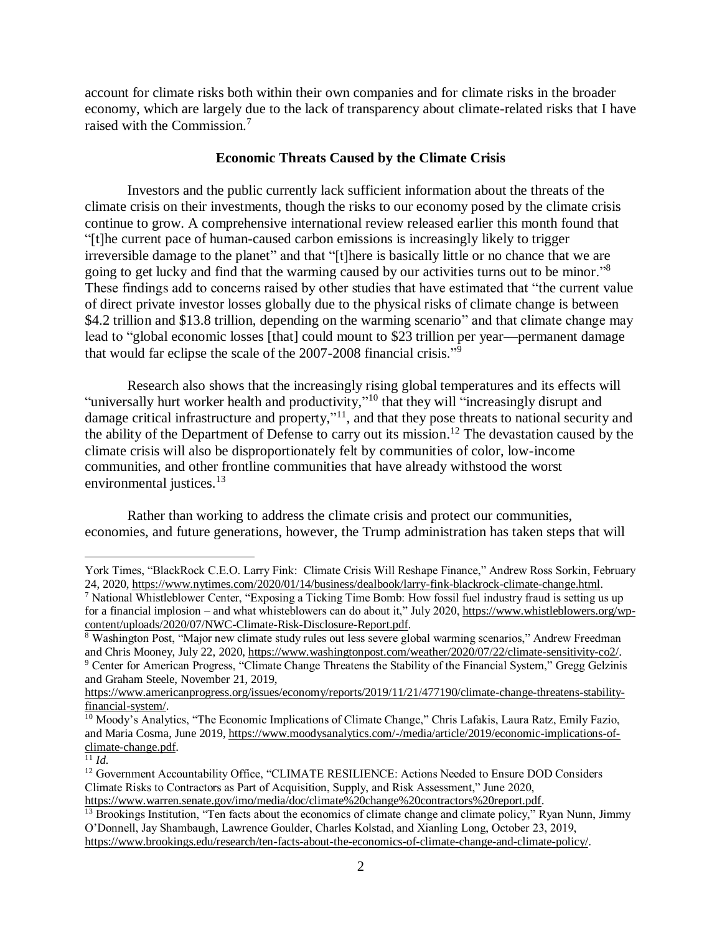account for climate risks both within their own companies and for climate risks in the broader economy, which are largely due to the lack of transparency about climate-related risks that I have raised with the Commission.<sup>7</sup>

## **Economic Threats Caused by the Climate Crisis**

Investors and the public currently lack sufficient information about the threats of the climate crisis on their investments, though the risks to our economy posed by the climate crisis continue to grow. A comprehensive international review released earlier this month found that "[t]he current pace of human-caused carbon emissions is increasingly likely to trigger irreversible damage to the planet" and that "[t]here is basically little or no chance that we are going to get lucky and find that the warming caused by our activities turns out to be minor."<sup>8</sup> These findings add to concerns raised by other studies that have estimated that "the current value of direct private investor losses globally due to the physical risks of climate change is between \$4.2 trillion and \$13.8 trillion, depending on the warming scenario" and that climate change may lead to "global economic losses [that] could mount to \$23 trillion per year—permanent damage that would far eclipse the scale of the 2007-2008 financial crisis."<sup>9</sup>

Research also shows that the increasingly rising global temperatures and its effects will "universally hurt worker health and productivity,"<sup>10</sup> that they will "increasingly disrupt and damage critical infrastructure and property,"<sup>11</sup>, and that they pose threats to national security and the ability of the Department of Defense to carry out its mission.<sup>12</sup> The devastation caused by the climate crisis will also be disproportionately felt by communities of color, low-income communities, and other frontline communities that have already withstood the worst environmental justices.<sup>13</sup>

Rather than working to address the climate crisis and protect our communities, economies, and future generations, however, the Trump administration has taken steps that will

York Times, "BlackRock C.E.O. Larry Fink: Climate Crisis Will Reshape Finance," Andrew Ross Sorkin, February 24, 2020, [https://www.nytimes.com/2020/01/14/business/dealbook/larry-fink-blackrock-climate-change.html.](https://www.nytimes.com/2020/01/14/business/dealbook/larry-fink-blackrock-climate-change.html)

<sup>7</sup> National Whistleblower Center, "Exposing a Ticking Time Bomb: How fossil fuel industry fraud is setting us up for a financial implosion – and what whisteblowers can do about it," July 2020[, https://www.whistleblowers.org/wp](https://www.whistleblowers.org/wp-content/uploads/2020/07/NWC-Climate-Risk-Disclosure-Report.pdf)[content/uploads/2020/07/NWC-Climate-Risk-Disclosure-Report.pdf.](https://www.whistleblowers.org/wp-content/uploads/2020/07/NWC-Climate-Risk-Disclosure-Report.pdf)

<sup>8</sup> Washington Post, "Major new climate study rules out less severe global warming scenarios," Andrew Freedman and Chris Mooney, July 22, 2020[, https://www.washingtonpost.com/weather/2020/07/22/climate-sensitivity-co2/.](https://www.washingtonpost.com/weather/2020/07/22/climate-sensitivity-co2/) <sup>9</sup> Center for American Progress, "Climate Change Threatens the Stability of the Financial System," Gregg Gelzinis

and Graham Steele, November 21, 2019,

[https://www.americanprogress.org/issues/economy/reports/2019/11/21/477190/climate-change-threatens-stability](https://www.americanprogress.org/issues/economy/reports/2019/11/21/477190/climate-change-threatens-stability-financial-system/)[financial-system/.](https://www.americanprogress.org/issues/economy/reports/2019/11/21/477190/climate-change-threatens-stability-financial-system/)

<sup>10</sup> Moody's Analytics, "The Economic Implications of Climate Change," Chris Lafakis, Laura Ratz, Emily Fazio, and Maria Cosma, June 2019, [https://www.moodysanalytics.com/-/media/article/2019/economic-implications-of](https://www.moodysanalytics.com/-/media/article/2019/economic-implications-of-climate-change.pdf)[climate-change.pdf.](https://www.moodysanalytics.com/-/media/article/2019/economic-implications-of-climate-change.pdf)

<sup>11</sup> *Id.*

<sup>&</sup>lt;sup>12</sup> Government Accountability Office, "CLIMATE RESILIENCE: Actions Needed to Ensure DOD Considers Climate Risks to Contractors as Part of Acquisition, Supply, and Risk Assessment," June 2020,

[https://www.warren.senate.gov/imo/media/doc/climate%20change%20contractors%20report.pdf.](https://www.warren.senate.gov/imo/media/doc/climate%20change%20contractors%20report.pdf)

<sup>&</sup>lt;sup>13</sup> Brookings Institution, "Ten facts about the economics of climate change and climate policy," Ryan Nunn, Jimmy O'Donnell, Jay Shambaugh, Lawrence Goulder, Charles Kolstad, and Xianling Long, October 23, 2019, [https://www.brookings.edu/research/ten-facts-about-the-economics-of-climate-change-and-climate-policy/.](https://www.brookings.edu/research/ten-facts-about-the-economics-of-climate-change-and-climate-policy/)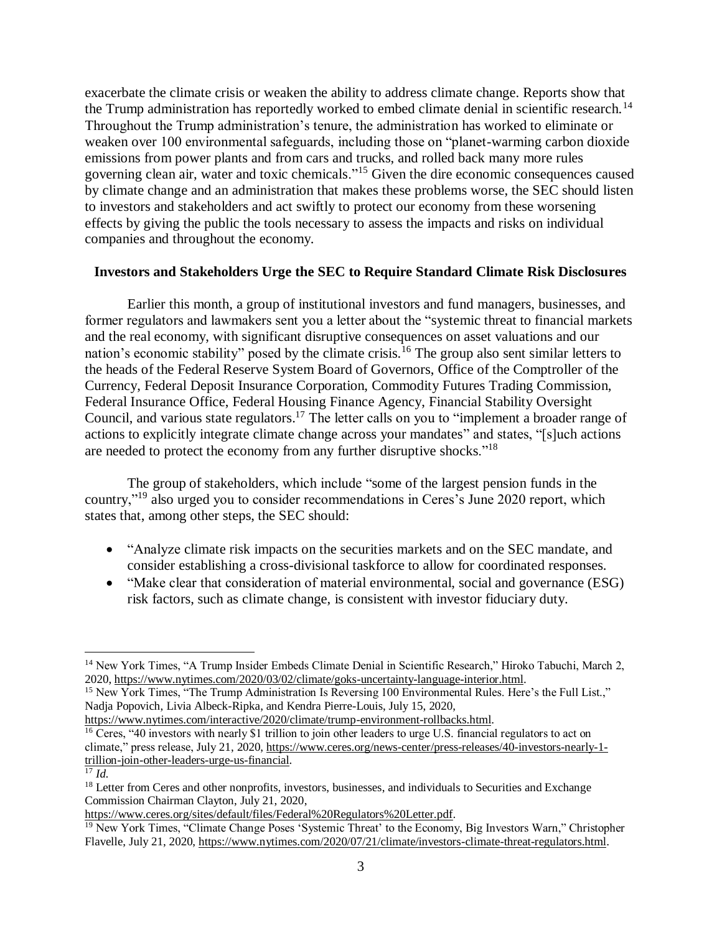exacerbate the climate crisis or weaken the ability to address climate change. Reports show that the Trump administration has reportedly worked to embed climate denial in scientific research.<sup>14</sup> Throughout the Trump administration's tenure, the administration has worked to eliminate or weaken over 100 environmental safeguards, including those on "planet-warming carbon dioxide emissions from power plants and from cars and trucks, and rolled back many more rules governing clean air, water and toxic chemicals."<sup>15</sup> Given the dire economic consequences caused by climate change and an administration that makes these problems worse, the SEC should listen to investors and stakeholders and act swiftly to protect our economy from these worsening effects by giving the public the tools necessary to assess the impacts and risks on individual companies and throughout the economy.

# **Investors and Stakeholders Urge the SEC to Require Standard Climate Risk Disclosures**

Earlier this month, a group of institutional investors and fund managers, businesses, and former regulators and lawmakers sent you a letter about the "systemic threat to financial markets and the real economy, with significant disruptive consequences on asset valuations and our nation's economic stability" posed by the climate crisis.<sup>16</sup> The group also sent similar letters to the heads of the Federal Reserve System Board of Governors, Office of the Comptroller of the Currency, Federal Deposit Insurance Corporation, Commodity Futures Trading Commission, Federal Insurance Office, Federal Housing Finance Agency, Financial Stability Oversight Council, and various state regulators.<sup>17</sup> The letter calls on you to "implement a broader range of actions to explicitly integrate climate change across your mandates" and states, "[s]uch actions are needed to protect the economy from any further disruptive shocks."<sup>18</sup>

The group of stakeholders, which include "some of the largest pension funds in the country,"<sup>19</sup> also urged you to consider recommendations in Ceres's June 2020 report, which states that, among other steps, the SEC should:

- "Analyze climate risk impacts on the securities markets and on the SEC mandate, and consider establishing a cross-divisional taskforce to allow for coordinated responses.
- "Make clear that consideration of material environmental, social and governance (ESG) risk factors, such as climate change, is consistent with investor fiduciary duty.

[https://www.nytimes.com/interactive/2020/climate/trump-environment-rollbacks.html.](https://www.nytimes.com/interactive/2020/climate/trump-environment-rollbacks.html) <sup>16</sup> Ceres, "40 investors with nearly \$1 trillion to join other leaders to urge U.S. financial regulators to act on climate," press release, July 21, 2020, [https://www.ceres.org/news-center/press-releases/40-investors-nearly-1](https://www.ceres.org/news-center/press-releases/40-investors-nearly-1-trillion-join-other-leaders-urge-us-financial) [trillion-join-other-leaders-urge-us-financial.](https://www.ceres.org/news-center/press-releases/40-investors-nearly-1-trillion-join-other-leaders-urge-us-financial)

<sup>&</sup>lt;sup>14</sup> New York Times, "A Trump Insider Embeds Climate Denial in Scientific Research," Hiroko Tabuchi, March 2, 2020, [https://www.nytimes.com/2020/03/02/climate/goks-uncertainty-language-interior.html.](https://www.nytimes.com/2020/03/02/climate/goks-uncertainty-language-interior.html)

<sup>&</sup>lt;sup>15</sup> New York Times, "The Trump Administration Is Reversing 100 Environmental Rules. Here's the Full List.," Nadja Popovich, Livia Albeck-Ripka, and Kendra Pierre-Louis, July 15, 2020,

 $\overline{^{17}$  *Id.* 

<sup>&</sup>lt;sup>18</sup> Letter from Ceres and other nonprofits, investors, businesses, and individuals to Securities and Exchange Commission Chairman Clayton, July 21, 2020,

[https://www.ceres.org/sites/default/files/Federal%20Regulators%20Letter.pdf.](https://www.ceres.org/sites/default/files/Federal%20Regulators%20Letter.pdf)

<sup>&</sup>lt;sup>19</sup> New York Times, "Climate Change Poses 'Systemic Threat' to the Economy, Big Investors Warn," Christopher Flavelle, July 21, 2020, [https://www.nytimes.com/2020/07/21/climate/investors-climate-threat-regulators.html.](https://www.nytimes.com/2020/07/21/climate/investors-climate-threat-regulators.html)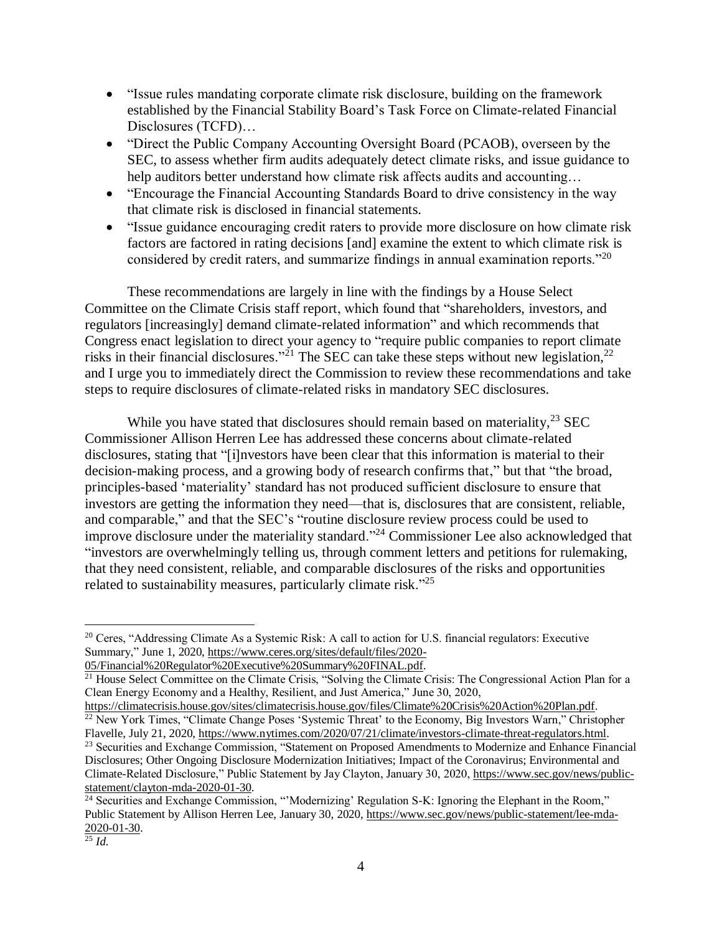- "Issue rules mandating corporate climate risk disclosure, building on the framework established by the Financial Stability Board's Task Force on Climate-related Financial Disclosures (TCFD)…
- "Direct the Public Company Accounting Oversight Board (PCAOB), overseen by the SEC, to assess whether firm audits adequately detect climate risks, and issue guidance to help auditors better understand how climate risk affects audits and accounting...
- "Encourage the Financial Accounting Standards Board to drive consistency in the way that climate risk is disclosed in financial statements.
- "Issue guidance encouraging credit raters to provide more disclosure on how climate risk factors are factored in rating decisions [and] examine the extent to which climate risk is considered by credit raters, and summarize findings in annual examination reports.<sup>"20</sup>

These recommendations are largely in line with the findings by a House Select Committee on the Climate Crisis staff report, which found that "shareholders, investors, and regulators [increasingly] demand climate-related information" and which recommends that Congress enact legislation to direct your agency to "require public companies to report climate risks in their financial disclosures."<sup>21</sup> The SEC can take these steps without new legislation,<sup>22</sup> and I urge you to immediately direct the Commission to review these recommendations and take steps to require disclosures of climate-related risks in mandatory SEC disclosures.

While you have stated that disclosures should remain based on materiality,<sup>23</sup> SEC Commissioner Allison Herren Lee has addressed these concerns about climate-related disclosures, stating that "[i]nvestors have been clear that this information is material to their decision-making process, and a growing body of research confirms that," but that "the broad, principles-based 'materiality' standard has not produced sufficient disclosure to ensure that investors are getting the information they need—that is, disclosures that are consistent, reliable, and comparable," and that the SEC's "routine disclosure review process could be used to improve disclosure under the materiality standard."<sup>24</sup> Commissioner Lee also acknowledged that "investors are overwhelmingly telling us, through comment letters and petitions for rulemaking, that they need consistent, reliable, and comparable disclosures of the risks and opportunities related to sustainability measures, particularly climate risk."<sup>25</sup>

<sup>&</sup>lt;sup>20</sup> Ceres, "Addressing Climate As a Systemic Risk: A call to action for U.S. financial regulators: Executive Summary," June 1, 2020, [https://www.ceres.org/sites/default/files/2020-](https://www.ceres.org/sites/default/files/2020-05/Financial%20Regulator%20Executive%20Summary%20FINAL.pdf)

[<sup>05/</sup>Financial%20Regulator%20Executive%20Summary%20FINAL.pdf.](https://www.ceres.org/sites/default/files/2020-05/Financial%20Regulator%20Executive%20Summary%20FINAL.pdf)

<sup>&</sup>lt;sup>21</sup> House Select Committee on the Climate Crisis, "Solving the Climate Crisis: The Congressional Action Plan for a Clean Energy Economy and a Healthy, Resilient, and Just America," June 30, 2020,

[https://climatecrisis.house.gov/sites/climatecrisis.house.gov/files/Climate%20Crisis%20Action%20Plan.pdf.](https://climatecrisis.house.gov/sites/climatecrisis.house.gov/files/Climate%20Crisis%20Action%20Plan.pdf) <sup>22</sup> New York Times, "Climate Change Poses 'Systemic Threat' to the Economy, Big Investors Warn," Christopher

Flavelle, July 21, 2020, [https://www.nytimes.com/2020/07/21/climate/investors-climate-threat-regulators.html.](https://www.nytimes.com/2020/07/21/climate/investors-climate-threat-regulators.html) <sup>23</sup> Securities and Exchange Commission, "Statement on Proposed Amendments to Modernize and Enhance Financial Disclosures; Other Ongoing Disclosure Modernization Initiatives; Impact of the Coronavirus; Environmental and Climate-Related Disclosure," Public Statement by Jay Clayton, January 30, 2020, [https://www.sec.gov/news/public](https://www.sec.gov/news/public-statement/clayton-mda-2020-01-30)[statement/clayton-mda-2020-01-30.](https://www.sec.gov/news/public-statement/clayton-mda-2020-01-30)

<sup>&</sup>lt;sup>24</sup> Securities and Exchange Commission, "'Modernizing' Regulation S-K: Ignoring the Elephant in the Room," Public Statement by Allison Herren Lee, January 30, 2020, [https://www.sec.gov/news/public-statement/lee-mda-](https://www.sec.gov/news/public-statement/lee-mda-2020-01-30)[2020-01-30.](https://www.sec.gov/news/public-statement/lee-mda-2020-01-30)

<sup>25</sup> *Id.*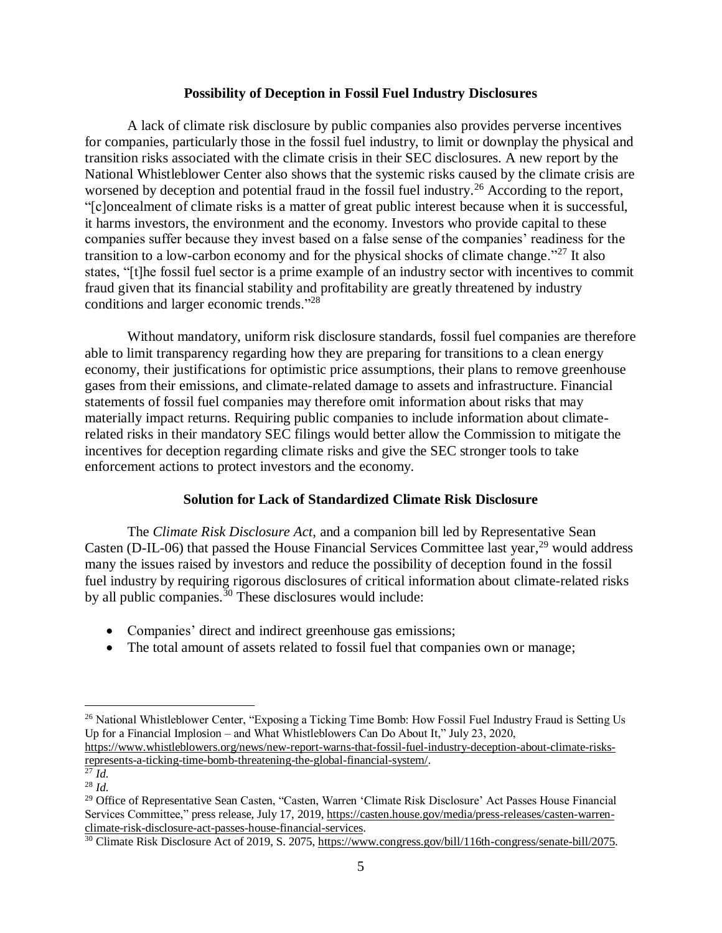#### **Possibility of Deception in Fossil Fuel Industry Disclosures**

A lack of climate risk disclosure by public companies also provides perverse incentives for companies, particularly those in the fossil fuel industry, to limit or downplay the physical and transition risks associated with the climate crisis in their SEC disclosures. A new report by the National Whistleblower Center also shows that the systemic risks caused by the climate crisis are worsened by deception and potential fraud in the fossil fuel industry.<sup>26</sup> According to the report, "[c]oncealment of climate risks is a matter of great public interest because when it is successful, it harms investors, the environment and the economy. Investors who provide capital to these companies suffer because they invest based on a false sense of the companies' readiness for the transition to a low-carbon economy and for the physical shocks of climate change.<sup>"27</sup> It also states, "[t]he fossil fuel sector is a prime example of an industry sector with incentives to commit fraud given that its financial stability and profitability are greatly threatened by industry conditions and larger economic trends."<sup>28</sup>

Without mandatory, uniform risk disclosure standards, fossil fuel companies are therefore able to limit transparency regarding how they are preparing for transitions to a clean energy economy, their justifications for optimistic price assumptions, their plans to remove greenhouse gases from their emissions, and climate-related damage to assets and infrastructure. Financial statements of fossil fuel companies may therefore omit information about risks that may materially impact returns. Requiring public companies to include information about climaterelated risks in their mandatory SEC filings would better allow the Commission to mitigate the incentives for deception regarding climate risks and give the SEC stronger tools to take enforcement actions to protect investors and the economy.

## **Solution for Lack of Standardized Climate Risk Disclosure**

The *Climate Risk Disclosure Act*, and a companion bill led by Representative Sean Casten (D-IL-06) that passed the House Financial Services Committee last year,  $^{29}$  would address many the issues raised by investors and reduce the possibility of deception found in the fossil fuel industry by requiring rigorous disclosures of critical information about climate-related risks by all public companies. $30$  These disclosures would include:

- Companies' direct and indirect greenhouse gas emissions;
- The total amount of assets related to fossil fuel that companies own or manage;

<sup>&</sup>lt;sup>26</sup> National Whistleblower Center, "Exposing a Ticking Time Bomb: How Fossil Fuel Industry Fraud is Setting Us Up for a Financial Implosion – and What Whistleblowers Can Do About It," July 23, 2020,

[https://www.whistleblowers.org/news/new-report-warns-that-fossil-fuel-industry-deception-about-climate-risks](https://www.whistleblowers.org/news/new-report-warns-that-fossil-fuel-industry-deception-about-climate-risks-represents-a-ticking-time-bomb-threatening-the-global-financial-system/)[represents-a-ticking-time-bomb-threatening-the-global-financial-system/.](https://www.whistleblowers.org/news/new-report-warns-that-fossil-fuel-industry-deception-about-climate-risks-represents-a-ticking-time-bomb-threatening-the-global-financial-system/)

<sup>27</sup> *Id.*

<sup>28</sup> *Id.*

<sup>&</sup>lt;sup>29</sup> Office of Representative Sean Casten, "Casten, Warren 'Climate Risk Disclosure' Act Passes House Financial Services Committee," press release, July 17, 2019, [https://casten.house.gov/media/press-releases/casten-warren](https://casten.house.gov/media/press-releases/casten-warren-climate-risk-disclosure-act-passes-house-financial-services)[climate-risk-disclosure-act-passes-house-financial-services.](https://casten.house.gov/media/press-releases/casten-warren-climate-risk-disclosure-act-passes-house-financial-services)

<sup>&</sup>lt;sup>30</sup> Climate Risk Disclosure Act of 2019, S. 2075[, https://www.congress.gov/bill/116th-congress/senate-bill/2075.](https://www.congress.gov/bill/116th-congress/senate-bill/2075)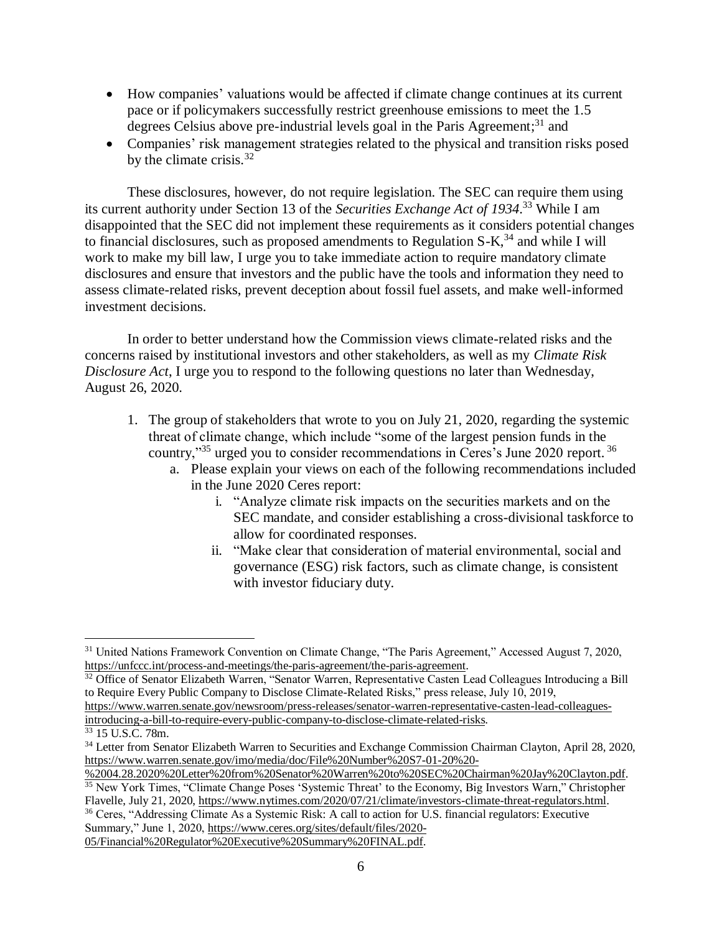- How companies' valuations would be affected if climate change continues at its current pace or if policymakers successfully restrict greenhouse emissions to meet the 1.5 degrees Celsius above pre-industrial levels goal in the Paris Agreement;<sup>31</sup> and
- Companies' risk management strategies related to the physical and transition risks posed by the climate crisis. $32$

These disclosures, however, do not require legislation. The SEC can require them using its current authority under Section 13 of the *Securities Exchange Act of 1934*. <sup>33</sup> While I am disappointed that the SEC did not implement these requirements as it considers potential changes to financial disclosures, such as proposed amendments to Regulation  $S-K$ <sup>34</sup> and while I will work to make my bill law, I urge you to take immediate action to require mandatory climate disclosures and ensure that investors and the public have the tools and information they need to assess climate-related risks, prevent deception about fossil fuel assets, and make well-informed investment decisions.

In order to better understand how the Commission views climate-related risks and the concerns raised by institutional investors and other stakeholders, as well as my *Climate Risk Disclosure Act*, I urge you to respond to the following questions no later than Wednesday, August 26, 2020.

- 1. The group of stakeholders that wrote to you on July 21, 2020, regarding the systemic threat of climate change, which include "some of the largest pension funds in the country,"<sup>35</sup> urged you to consider recommendations in Ceres's June 2020 report.<sup>36</sup>
	- a. Please explain your views on each of the following recommendations included in the June 2020 Ceres report:
		- i. "Analyze climate risk impacts on the securities markets and on the SEC mandate, and consider establishing a cross-divisional taskforce to allow for coordinated responses.
		- ii. "Make clear that consideration of material environmental, social and governance (ESG) risk factors, such as climate change, is consistent with investor fiduciary duty.

<sup>31</sup> United Nations Framework Convention on Climate Change, "The Paris Agreement," Accessed August 7, 2020, [https://unfccc.int/process-and-meetings/the-paris-agreement/the-paris-agreement.](https://unfccc.int/process-and-meetings/the-paris-agreement/the-paris-agreement)

<sup>&</sup>lt;sup>32</sup> Office of Senator Elizabeth Warren, "Senator Warren, Representative Casten Lead Colleagues Introducing a Bill to Require Every Public Company to Disclose Climate-Related Risks," press release, July 10, 2019,

[https://www.warren.senate.gov/newsroom/press-releases/senator-warren-representative-casten-lead-colleagues](https://www.warren.senate.gov/newsroom/press-releases/senator-warren-representative-casten-lead-colleagues-introducing-a-bill-to-require-every-public-company-to-disclose-climate-related-risks)[introducing-a-bill-to-require-every-public-company-to-disclose-climate-related-risks.](https://www.warren.senate.gov/newsroom/press-releases/senator-warren-representative-casten-lead-colleagues-introducing-a-bill-to-require-every-public-company-to-disclose-climate-related-risks)

 $33$  15 U.S.C. 78m.

<sup>&</sup>lt;sup>34</sup> Letter from Senator Elizabeth Warren to Securities and Exchange Commission Chairman Clayton, April 28, 2020, [https://www.warren.senate.gov/imo/media/doc/File%20Number%20S7-01-20%20-](https://www.warren.senate.gov/imo/media/doc/File%20Number%20S7-01-20%20-%2004.28.2020%20Letter%20from%20Senator%20Warren%20to%20SEC%20Chairman%20Jay%20Clayton.pdf)

[<sup>%2004.28.2020%20</sup>Letter%20from%20Senator%20Warren%20to%20SEC%20Chairman%20Jay%20Clayton.pdf.](https://www.warren.senate.gov/imo/media/doc/File%20Number%20S7-01-20%20-%2004.28.2020%20Letter%20from%20Senator%20Warren%20to%20SEC%20Chairman%20Jay%20Clayton.pdf) <sup>35</sup> New York Times, "Climate Change Poses 'Systemic Threat' to the Economy, Big Investors Warn," Christopher

Flavelle, July 21, 2020, [https://www.nytimes.com/2020/07/21/climate/investors-climate-threat-regulators.html.](https://www.nytimes.com/2020/07/21/climate/investors-climate-threat-regulators.html) <sup>36</sup> Ceres, "Addressing Climate As a Systemic Risk: A call to action for U.S. financial regulators: Executive Summary," June 1, 2020, [https://www.ceres.org/sites/default/files/2020-](https://www.ceres.org/sites/default/files/2020-05/Financial%20Regulator%20Executive%20Summary%20FINAL.pdf)

[<sup>05/</sup>Financial%20Regulator%20Executive%20Summary%20FINAL.pdf.](https://www.ceres.org/sites/default/files/2020-05/Financial%20Regulator%20Executive%20Summary%20FINAL.pdf)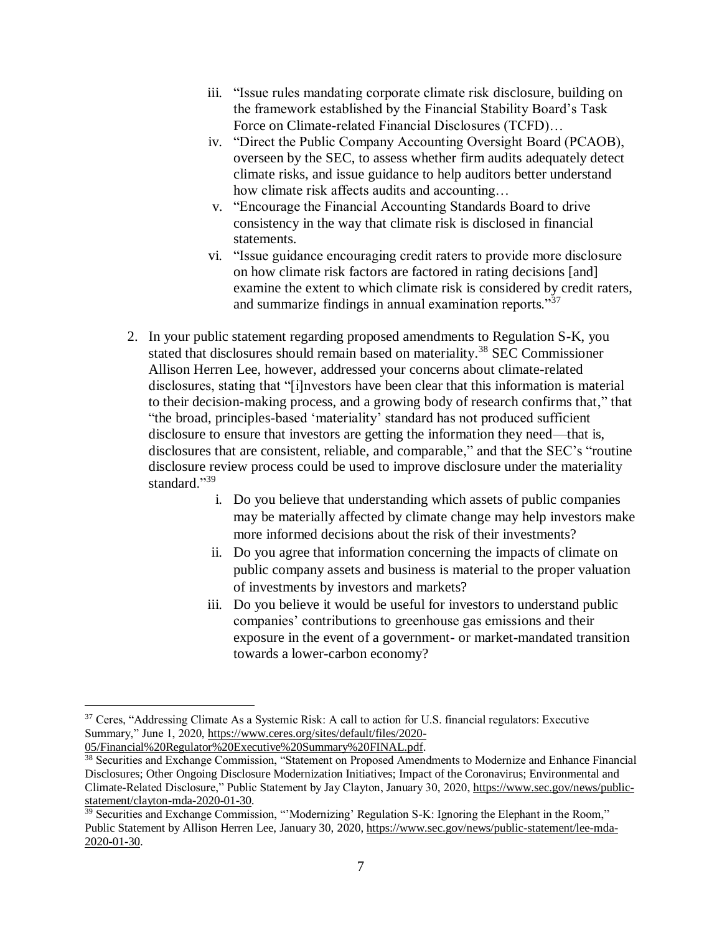- iii. "Issue rules mandating corporate climate risk disclosure, building on the framework established by the Financial Stability Board's Task Force on Climate-related Financial Disclosures (TCFD)…
- iv. "Direct the Public Company Accounting Oversight Board (PCAOB), overseen by the SEC, to assess whether firm audits adequately detect climate risks, and issue guidance to help auditors better understand how climate risk affects audits and accounting…
- v. "Encourage the Financial Accounting Standards Board to drive consistency in the way that climate risk is disclosed in financial statements.
- vi. "Issue guidance encouraging credit raters to provide more disclosure on how climate risk factors are factored in rating decisions [and] examine the extent to which climate risk is considered by credit raters, and summarize findings in annual examination reports."<sup>37</sup>
- 2. In your public statement regarding proposed amendments to Regulation S-K, you stated that disclosures should remain based on materiality. <sup>38</sup> SEC Commissioner Allison Herren Lee, however, addressed your concerns about climate-related disclosures, stating that "[i]nvestors have been clear that this information is material to their decision-making process, and a growing body of research confirms that," that "the broad, principles-based 'materiality' standard has not produced sufficient disclosure to ensure that investors are getting the information they need—that is, disclosures that are consistent, reliable, and comparable," and that the SEC's "routine disclosure review process could be used to improve disclosure under the materiality standard."<sup>39</sup>
	- i. Do you believe that understanding which assets of public companies may be materially affected by climate change may help investors make more informed decisions about the risk of their investments?
	- ii. Do you agree that information concerning the impacts of climate on public company assets and business is material to the proper valuation of investments by investors and markets?
	- iii. Do you believe it would be useful for investors to understand public companies' contributions to greenhouse gas emissions and their exposure in the event of a government- or market-mandated transition towards a lower-carbon economy?

<sup>&</sup>lt;sup>37</sup> Ceres, "Addressing Climate As a Systemic Risk: A call to action for U.S. financial regulators: Executive Summary," June 1, 2020, [https://www.ceres.org/sites/default/files/2020-](https://www.ceres.org/sites/default/files/2020-05/Financial%20Regulator%20Executive%20Summary%20FINAL.pdf) [05/Financial%20Regulator%20Executive%20Summary%20FINAL.pdf.](https://www.ceres.org/sites/default/files/2020-05/Financial%20Regulator%20Executive%20Summary%20FINAL.pdf)

<sup>&</sup>lt;sup>38</sup> Securities and Exchange Commission, "Statement on Proposed Amendments to Modernize and Enhance Financial Disclosures; Other Ongoing Disclosure Modernization Initiatives; Impact of the Coronavirus; Environmental and Climate-Related Disclosure," Public Statement by Jay Clayton, January 30, 2020, [https://www.sec.gov/news/public](https://www.sec.gov/news/public-statement/clayton-mda-2020-01-30)[statement/clayton-mda-2020-01-30.](https://www.sec.gov/news/public-statement/clayton-mda-2020-01-30)

<sup>39</sup> Securities and Exchange Commission, "'Modernizing' Regulation S-K: Ignoring the Elephant in the Room," Public Statement by Allison Herren Lee, January 30, 2020, [https://www.sec.gov/news/public-statement/lee-mda-](https://www.sec.gov/news/public-statement/lee-mda-2020-01-30)[2020-01-30.](https://www.sec.gov/news/public-statement/lee-mda-2020-01-30)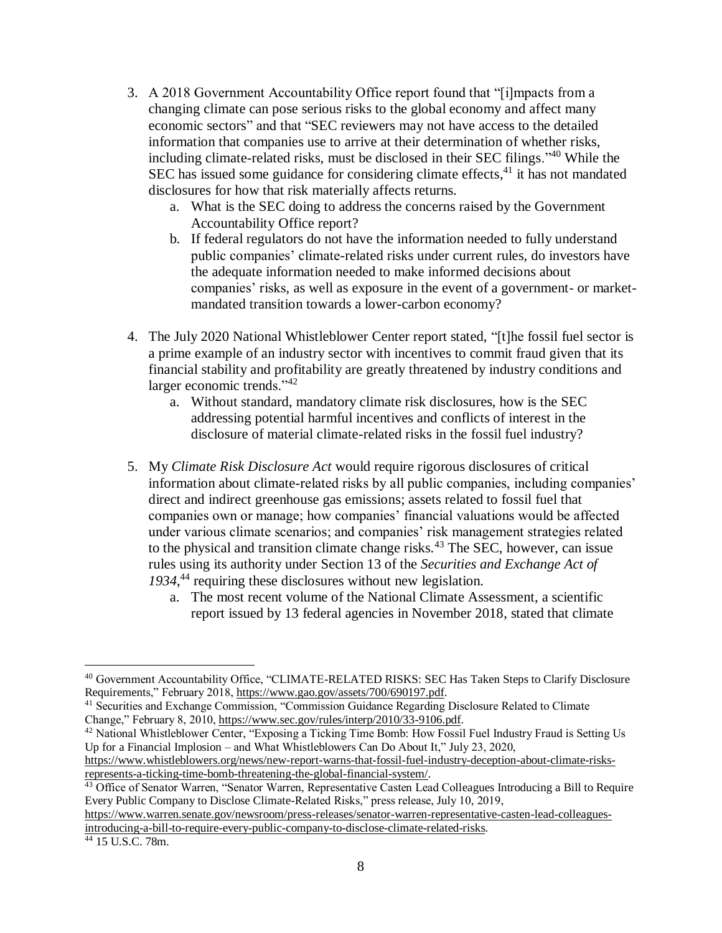- 3. A 2018 Government Accountability Office report found that "[i]mpacts from a changing climate can pose serious risks to the global economy and affect many economic sectors" and that "SEC reviewers may not have access to the detailed information that companies use to arrive at their determination of whether risks, including climate-related risks, must be disclosed in their SEC filings."<sup>40</sup> While the SEC has issued some guidance for considering climate effects,<sup>41</sup> it has not mandated disclosures for how that risk materially affects returns.
	- a. What is the SEC doing to address the concerns raised by the Government Accountability Office report?
	- b. If federal regulators do not have the information needed to fully understand public companies' climate-related risks under current rules, do investors have the adequate information needed to make informed decisions about companies' risks, as well as exposure in the event of a government- or marketmandated transition towards a lower-carbon economy?
- 4. The July 2020 National Whistleblower Center report stated, "[t]he fossil fuel sector is a prime example of an industry sector with incentives to commit fraud given that its financial stability and profitability are greatly threatened by industry conditions and larger economic trends."<sup>42</sup>
	- a. Without standard, mandatory climate risk disclosures, how is the SEC addressing potential harmful incentives and conflicts of interest in the disclosure of material climate-related risks in the fossil fuel industry?
- 5. My *Climate Risk Disclosure Act* would require rigorous disclosures of critical information about climate-related risks by all public companies, including companies' direct and indirect greenhouse gas emissions; assets related to fossil fuel that companies own or manage; how companies' financial valuations would be affected under various climate scenarios; and companies' risk management strategies related to the physical and transition climate change risks. $43$  The SEC, however, can issue rules using its authority under Section 13 of the *Securities and Exchange Act of 1934*, <sup>44</sup> requiring these disclosures without new legislation.
	- a. The most recent volume of the National Climate Assessment, a scientific report issued by 13 federal agencies in November 2018, stated that climate

[https://www.whistleblowers.org/news/new-report-warns-that-fossil-fuel-industry-deception-about-climate-risks](https://www.whistleblowers.org/news/new-report-warns-that-fossil-fuel-industry-deception-about-climate-risks-represents-a-ticking-time-bomb-threatening-the-global-financial-system/)[represents-a-ticking-time-bomb-threatening-the-global-financial-system/.](https://www.whistleblowers.org/news/new-report-warns-that-fossil-fuel-industry-deception-about-climate-risks-represents-a-ticking-time-bomb-threatening-the-global-financial-system/)

<sup>40</sup> Government Accountability Office, "CLIMATE-RELATED RISKS: SEC Has Taken Steps to Clarify Disclosure Requirements," February 2018[, https://www.gao.gov/assets/700/690197.pdf.](https://www.gao.gov/assets/700/690197.pdf)

<sup>41</sup> Securities and Exchange Commission, "Commission Guidance Regarding Disclosure Related to Climate Change," February 8, 2010[, https://www.sec.gov/rules/interp/2010/33-9106.pdf.](https://www.sec.gov/rules/interp/2010/33-9106.pdf)

<sup>&</sup>lt;sup>42</sup> National Whistleblower Center, "Exposing a Ticking Time Bomb: How Fossil Fuel Industry Fraud is Setting Us Up for a Financial Implosion – and What Whistleblowers Can Do About It," July 23, 2020,

<sup>&</sup>lt;sup>43</sup> Office of Senator Warren, "Senator Warren, Representative Casten Lead Colleagues Introducing a Bill to Require Every Public Company to Disclose Climate-Related Risks," press release, July 10, 2019,

[https://www.warren.senate.gov/newsroom/press-releases/senator-warren-representative-casten-lead-colleagues](https://www.warren.senate.gov/newsroom/press-releases/senator-warren-representative-casten-lead-colleagues-introducing-a-bill-to-require-every-public-company-to-disclose-climate-related-risks)[introducing-a-bill-to-require-every-public-company-to-disclose-climate-related-risks.](https://www.warren.senate.gov/newsroom/press-releases/senator-warren-representative-casten-lead-colleagues-introducing-a-bill-to-require-every-public-company-to-disclose-climate-related-risks)

<sup>44</sup> 15 U.S.C. 78m.